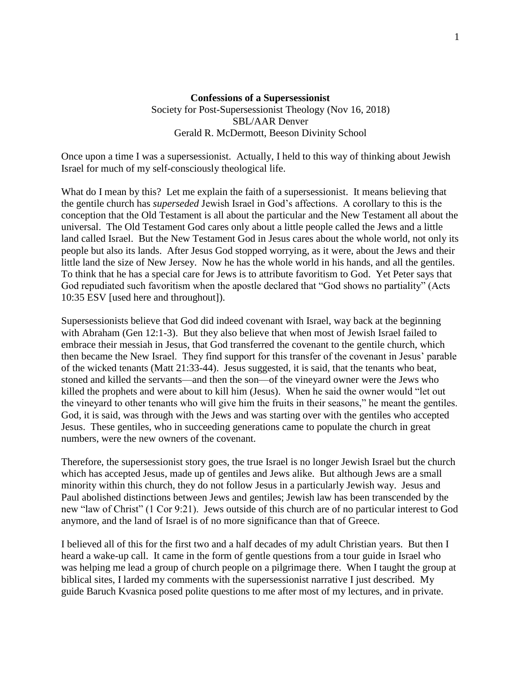## **Confessions of a Supersessionist** Society for Post-Supersessionist Theology (Nov 16, 2018) SBL/AAR Denver Gerald R. McDermott, Beeson Divinity School

Once upon a time I was a supersessionist. Actually, I held to this way of thinking about Jewish Israel for much of my self-consciously theological life.

What do I mean by this? Let me explain the faith of a supersessionist. It means believing that the gentile church has *superseded* Jewish Israel in God's affections. A corollary to this is the conception that the Old Testament is all about the particular and the New Testament all about the universal. The Old Testament God cares only about a little people called the Jews and a little land called Israel. But the New Testament God in Jesus cares about the whole world, not only its people but also its lands. After Jesus God stopped worrying, as it were, about the Jews and their little land the size of New Jersey. Now he has the whole world in his hands, and all the gentiles. To think that he has a special care for Jews is to attribute favoritism to God. Yet Peter says that God repudiated such favoritism when the apostle declared that "God shows no partiality" (Acts 10:35 ESV [used here and throughout]).

Supersessionists believe that God did indeed covenant with Israel, way back at the beginning with Abraham (Gen 12:1-3). But they also believe that when most of Jewish Israel failed to embrace their messiah in Jesus, that God transferred the covenant to the gentile church, which then became the New Israel. They find support for this transfer of the covenant in Jesus' parable of the wicked tenants (Matt 21:33-44). Jesus suggested, it is said, that the tenants who beat, stoned and killed the servants—and then the son—of the vineyard owner were the Jews who killed the prophets and were about to kill him (Jesus). When he said the owner would "let out the vineyard to other tenants who will give him the fruits in their seasons," he meant the gentiles. God, it is said, was through with the Jews and was starting over with the gentiles who accepted Jesus. These gentiles, who in succeeding generations came to populate the church in great numbers, were the new owners of the covenant.

Therefore, the supersessionist story goes, the true Israel is no longer Jewish Israel but the church which has accepted Jesus, made up of gentiles and Jews alike. But although Jews are a small minority within this church, they do not follow Jesus in a particularly Jewish way. Jesus and Paul abolished distinctions between Jews and gentiles; Jewish law has been transcended by the new "law of Christ" (1 Cor 9:21). Jews outside of this church are of no particular interest to God anymore, and the land of Israel is of no more significance than that of Greece.

I believed all of this for the first two and a half decades of my adult Christian years. But then I heard a wake-up call. It came in the form of gentle questions from a tour guide in Israel who was helping me lead a group of church people on a pilgrimage there. When I taught the group at biblical sites, I larded my comments with the supersessionist narrative I just described. My guide Baruch Kvasnica posed polite questions to me after most of my lectures, and in private.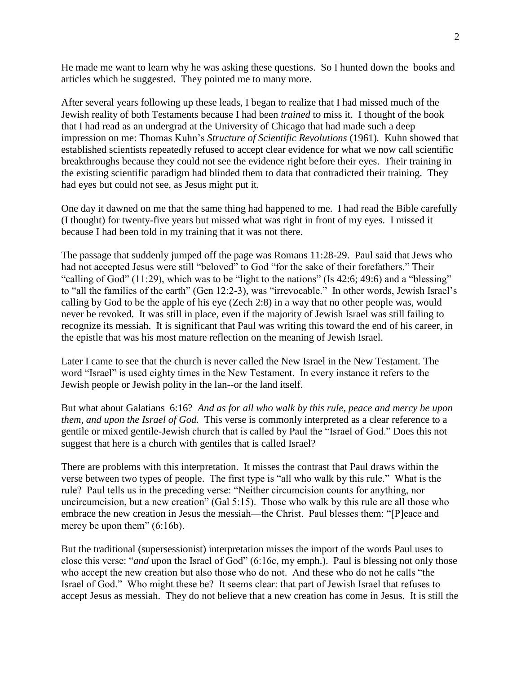He made me want to learn why he was asking these questions. So I hunted down the books and articles which he suggested. They pointed me to many more.

After several years following up these leads, I began to realize that I had missed much of the Jewish reality of both Testaments because I had been *trained* to miss it. I thought of the book that I had read as an undergrad at the University of Chicago that had made such a deep impression on me: Thomas Kuhn's *Structure of Scientific Revolutions* (1961)*.* Kuhn showed that established scientists repeatedly refused to accept clear evidence for what we now call scientific breakthroughs because they could not see the evidence right before their eyes. Their training in the existing scientific paradigm had blinded them to data that contradicted their training. They had eyes but could not see, as Jesus might put it.

One day it dawned on me that the same thing had happened to me. I had read the Bible carefully (I thought) for twenty-five years but missed what was right in front of my eyes. I missed it because I had been told in my training that it was not there.

The passage that suddenly jumped off the page was Romans 11:28-29. Paul said that Jews who had not accepted Jesus were still "beloved" to God "for the sake of their forefathers." Their "calling of God" (11:29), which was to be "light to the nations" (Is 42:6; 49:6) and a "blessing" to "all the families of the earth" (Gen 12:2-3), was "irrevocable." In other words, Jewish Israel's calling by God to be the apple of his eye (Zech 2:8) in a way that no other people was, would never be revoked. It was still in place, even if the majority of Jewish Israel was still failing to recognize its messiah. It is significant that Paul was writing this toward the end of his career, in the epistle that was his most mature reflection on the meaning of Jewish Israel.

Later I came to see that the church is never called the New Israel in the New Testament. The word "Israel" is used eighty times in the New Testament. In every instance it refers to the Jewish people or Jewish polity in the lan--or the land itself.

But what about Galatians 6:16? *And as for all who walk by this rule, peace and mercy be upon them, and upon the Israel of God.* This verse is commonly interpreted as a clear reference to a gentile or mixed gentile-Jewish church that is called by Paul the "Israel of God." Does this not suggest that here is a church with gentiles that is called Israel?

There are problems with this interpretation. It misses the contrast that Paul draws within the verse between two types of people. The first type is "all who walk by this rule." What is the rule? Paul tells us in the preceding verse: "Neither circumcision counts for anything, nor uncircumcision, but a new creation" (Gal 5:15). Those who walk by this rule are all those who embrace the new creation in Jesus the messiah—the Christ. Paul blesses them: "[P]eace and mercy be upon them" (6:16b).

But the traditional (supersessionist) interpretation misses the import of the words Paul uses to close this verse: "*and* upon the Israel of God" (6:16c, my emph.). Paul is blessing not only those who accept the new creation but also those who do not. And these who do not he calls "the Israel of God." Who might these be? It seems clear: that part of Jewish Israel that refuses to accept Jesus as messiah. They do not believe that a new creation has come in Jesus. It is still the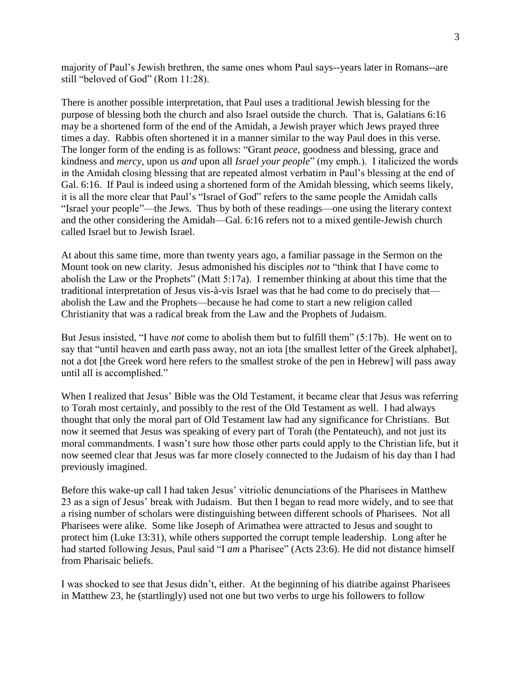majority of Paul's Jewish brethren, the same ones whom Paul says--years later in Romans--are still "beloved of God" (Rom 11:28).

There is another possible interpretation, that Paul uses a traditional Jewish blessing for the purpose of blessing both the church and also Israel outside the church. That is, Galatians 6:16 may be a shortened form of the end of the Amidah, a Jewish prayer which Jews prayed three times a day. Rabbis often shortened it in a manner similar to the way Paul does in this verse. The longer form of the ending is as follows: "Grant *peace*, goodness and blessing, grace and kindness and *mercy*, upon us *and* upon all *Israel your people*" (my emph.). I italicized the words in the Amidah closing blessing that are repeated almost verbatim in Paul's blessing at the end of Gal. 6:16. If Paul is indeed using a shortened form of the Amidah blessing, which seems likely, it is all the more clear that Paul's "Israel of God" refers to the same people the Amidah calls "Israel your people"—the Jews. Thus by both of these readings—one using the literary context and the other considering the Amidah—Gal. 6:16 refers not to a mixed gentile-Jewish church called Israel but to Jewish Israel.

At about this same time, more than twenty years ago, a familiar passage in the Sermon on the Mount took on new clarity. Jesus admonished his disciples *not* to "think that I have come to abolish the Law or the Prophets" (Matt 5:17a). I remember thinking at about this time that the traditional interpretation of Jesus vis-à-vis Israel was that he had come to do precisely that abolish the Law and the Prophets—because he had come to start a new religion called Christianity that was a radical break from the Law and the Prophets of Judaism.

But Jesus insisted, "I have *not* come to abolish them but to fulfill them" (5:17b). He went on to say that "until heaven and earth pass away, not an iota [the smallest letter of the Greek alphabet], not a dot [the Greek word here refers to the smallest stroke of the pen in Hebrew] will pass away until all is accomplished."

When I realized that Jesus' Bible was the Old Testament, it became clear that Jesus was referring to Torah most certainly, and possibly to the rest of the Old Testament as well. I had always thought that only the moral part of Old Testament law had any significance for Christians. But now it seemed that Jesus was speaking of every part of Torah (the Pentateuch), and not just its moral commandments. I wasn't sure how those other parts could apply to the Christian life, but it now seemed clear that Jesus was far more closely connected to the Judaism of his day than I had previously imagined.

Before this wake-up call I had taken Jesus' vitriolic denunciations of the Pharisees in Matthew 23 as a sign of Jesus' break with Judaism. But then I began to read more widely, and to see that a rising number of scholars were distinguishing between different schools of Pharisees. Not all Pharisees were alike. Some like Joseph of Arimathea were attracted to Jesus and sought to protect him (Luke 13:31), while others supported the corrupt temple leadership. Long after he had started following Jesus, Paul said "I *am* a Pharisee" (Acts 23:6). He did not distance himself from Pharisaic beliefs.

I was shocked to see that Jesus didn't, either. At the beginning of his diatribe against Pharisees in Matthew 23, he (startlingly) used not one but two verbs to urge his followers to follow